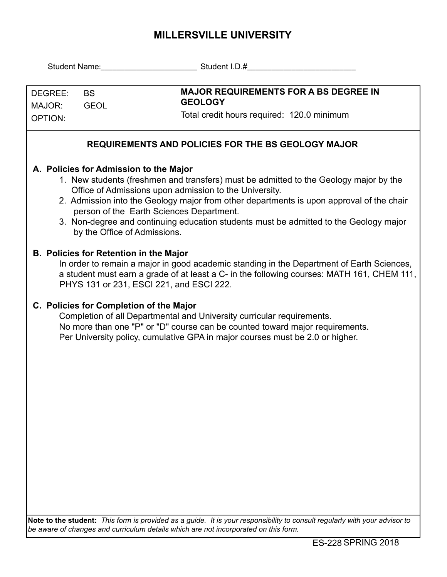## **MILLERSVILLE UNIVERSITY**

|                                     |                                                                                                                                                                                                                                                                                                                                                                                                                                                            | Student Name: Student I.D.#                                                                                                                                                                                                             |  |  |  |  |  |  |  |
|-------------------------------------|------------------------------------------------------------------------------------------------------------------------------------------------------------------------------------------------------------------------------------------------------------------------------------------------------------------------------------------------------------------------------------------------------------------------------------------------------------|-----------------------------------------------------------------------------------------------------------------------------------------------------------------------------------------------------------------------------------------|--|--|--|--|--|--|--|
| DEGREE:<br>MAJOR:<br><b>OPTION:</b> | <b>BS</b><br><b>GEOL</b>                                                                                                                                                                                                                                                                                                                                                                                                                                   | <b>MAJOR REQUIREMENTS FOR A BS DEGREE IN</b><br><b>GEOLOGY</b><br>Total credit hours required: 120.0 minimum                                                                                                                            |  |  |  |  |  |  |  |
|                                     |                                                                                                                                                                                                                                                                                                                                                                                                                                                            | <b>REQUIREMENTS AND POLICIES FOR THE BS GEOLOGY MAJOR</b>                                                                                                                                                                               |  |  |  |  |  |  |  |
|                                     | A. Policies for Admission to the Major<br>1. New students (freshmen and transfers) must be admitted to the Geology major by the<br>Office of Admissions upon admission to the University.<br>2. Admission into the Geology major from other departments is upon approval of the chair<br>person of the Earth Sciences Department.<br>3. Non-degree and continuing education students must be admitted to the Geology major<br>by the Office of Admissions. |                                                                                                                                                                                                                                         |  |  |  |  |  |  |  |
|                                     | <b>B. Policies for Retention in the Major</b><br>PHYS 131 or 231, ESCI 221, and ESCI 222.                                                                                                                                                                                                                                                                                                                                                                  | In order to remain a major in good academic standing in the Department of Earth Sciences,<br>a student must earn a grade of at least a C- in the following courses: MATH 161, CHEM 111,                                                 |  |  |  |  |  |  |  |
|                                     | C. Policies for Completion of the Major                                                                                                                                                                                                                                                                                                                                                                                                                    | Completion of all Departmental and University curricular requirements.<br>No more than one "P" or "D" course can be counted toward major requirements.<br>Per University policy, cumulative GPA in major courses must be 2.0 or higher. |  |  |  |  |  |  |  |
|                                     |                                                                                                                                                                                                                                                                                                                                                                                                                                                            |                                                                                                                                                                                                                                         |  |  |  |  |  |  |  |
|                                     |                                                                                                                                                                                                                                                                                                                                                                                                                                                            | Note to the student: This form is provided as a guide. It is your responsibility to consult regularly with your advisor to                                                                                                              |  |  |  |  |  |  |  |

*be aware of changes and curriculum details which are not incorporated on this form.*